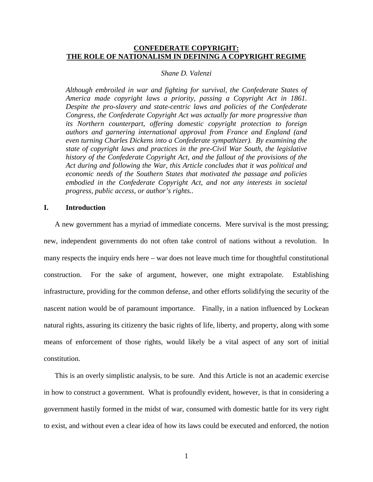# **CONFEDERATE COPYRIGHT: THE ROLE OF NATIONALISM IN DEFINING A COPYRIGHT REGIME**

#### *Shane D. Valenzi*

*Although embroiled in war and fighting for survival, the Confederate States of America made copyright laws a priority, passing a Copyright Act in 1861. Despite the pro-slavery and state-centric laws and policies of the Confederate Congress, the Confederate Copyright Act was actually far more progressive than its Northern counterpart, offering domestic copyright protection to foreign authors and garnering international approval from France and England (and even turning Charles Dickens into a Confederate sympathizer). By examining the state of copyright laws and practices in the pre-Civil War South, the legislative history of the Confederate Copyright Act, and the fallout of the provisions of the Act during and following the War, this Article concludes that it was political and economic needs of the Southern States that motivated the passage and policies embodied in the Confederate Copyright Act, and not any interests in societal progress, public access, or author's rights..*

#### **I. Introduction**

A new government has a myriad of immediate concerns. Mere survival is the most pressing; new, independent governments do not often take control of nations without a revolution. In many respects the inquiry ends here – war does not leave much time for thoughtful constitutional construction. For the sake of argument, however, one might extrapolate. Establishing infrastructure, providing for the common defense, and other efforts solidifying the security of the nascent nation would be of paramount importance. Finally, in a nation influenced by Lockean natural rights, assuring its citizenry the basic rights of life, liberty, and property, along with some means of enforcement of those rights, would likely be a vital aspect of any sort of initial constitution.

This is an overly simplistic analysis, to be sure. And this Article is not an academic exercise in how to construct a government. What is profoundly evident, however, is that in considering a government hastily formed in the midst of war, consumed with domestic battle for its very right to exist, and without even a clear idea of how its laws could be executed and enforced, the notion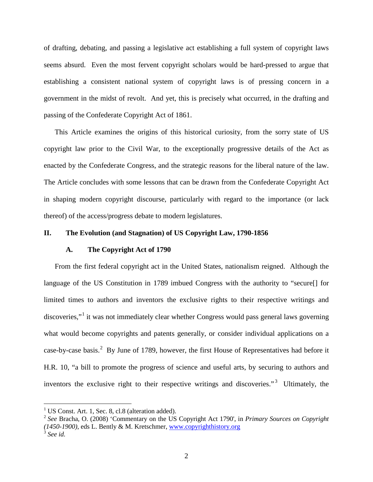of drafting, debating, and passing a legislative act establishing a full system of copyright laws seems absurd. Even the most fervent copyright scholars would be hard-pressed to argue that establishing a consistent national system of copyright laws is of pressing concern in a government in the midst of revolt. And yet, this is precisely what occurred, in the drafting and passing of the Confederate Copyright Act of 1861.

This Article examines the origins of this historical curiosity, from the sorry state of US copyright law prior to the Civil War, to the exceptionally progressive details of the Act as enacted by the Confederate Congress, and the strategic reasons for the liberal nature of the law. The Article concludes with some lessons that can be drawn from the Confederate Copyright Act in shaping modern copyright discourse, particularly with regard to the importance (or lack thereof) of the access/progress debate to modern legislatures.

#### **II. The Evolution (and Stagnation) of US Copyright Law, 1790-1856**

#### **A. The Copyright Act of 1790**

From the first federal copyright act in the United States, nationalism reigned. Although the language of the US Constitution in 1789 imbued Congress with the authority to "secure[] for limited times to authors and inventors the exclusive rights to their respective writings and discoveries,"<sup>[1](#page-1-0)</sup> it was not immediately clear whether Congress would pass general laws governing what would become copyrights and patents generally, or consider individual applications on a case-by-case basis.<sup>[2](#page-1-1)</sup> By June of 1789, however, the first House of Representatives had before it H.R. 10, "a bill to promote the progress of science and useful arts, by securing to authors and inventors the exclusive right to their respective writings and discoveries."<sup>[3](#page-1-2)</sup> Ultimately, the

<span id="page-1-0"></span><sup>&</sup>lt;sup>1</sup> US Const. Art. 1, Sec. 8, cl.8 (alteration added).

<span id="page-1-1"></span><sup>2</sup> *See* Bracha, O. (2008) 'Commentary on the US Copyright Act 1790', in *Primary Sources on Copyright (1450-1900)*, eds L. Bently & M. Kretschmer, [www.copyrighthistory.org](http://www.copyrighthistory.org/)

<span id="page-1-2"></span><sup>3</sup> *See id.*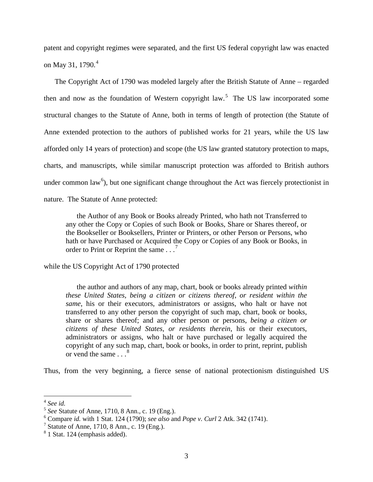patent and copyright regimes were separated, and the first US federal copyright law was enacted on May 31, 1790.<sup>[4](#page-2-0)</sup>

The Copyright Act of 1790 was modeled largely after the British Statute of Anne – regarded then and now as the foundation of Western copyright  $law$ <sup>[5](#page-2-1)</sup>. The US law incorporated some structural changes to the Statute of Anne, both in terms of length of protection (the Statute of Anne extended protection to the authors of published works for 21 years, while the US law afforded only 14 years of protection) and scope (the US law granted statutory protection to maps, charts, and manuscripts, while similar manuscript protection was afforded to British authors under common law<sup>[6](#page-2-2)</sup>), but one significant change throughout the Act was fiercely protectionist in nature. The Statute of Anne protected:

the Author of any Book or Books already Printed, who hath not Transferred to any other the Copy or Copies of such Book or Books, Share or Shares thereof, or the Bookseller or Booksellers, Printer or Printers, or other Person or Persons, who hath or have Purchased or Acquired the Copy or Copies of any Book or Books, in order to Print or Reprint the same . . .<sup>[7](#page-2-3)</sup>

while the US Copyright Act of 1790 protected

the author and authors of any map, chart, book or books already printed *within these United States, being a citizen or citizens thereof, or resident within the same*, his or their executors, administrators or assigns, who halt or have not transferred to any other person the copyright of such map, chart, book or books, share or shares thereof; and any other person or persons, *being a citizen or citizens of these United States, or residents therein*, his or their executors, administrators or assigns, who halt or have purchased or legally acquired the copyright of any such map, chart, book or books, in order to print, reprint, publish or vend the same  $\ldots^8$  $\ldots^8$ 

Thus, from the very beginning, a fierce sense of national protectionism distinguished US

<span id="page-2-0"></span> <sup>4</sup> *See id.*

<span id="page-2-1"></span><sup>5</sup> *See* Statute of Anne, 1710, 8 Ann., c. 19 (Eng.).

<span id="page-2-2"></span><sup>6</sup> Compare *id.* with 1 Stat. 124 (1790); *see also* and *Pope v. Curl* 2 Atk. 342 (1741).

<span id="page-2-3"></span><sup>&</sup>lt;sup>7</sup> Statute of Anne, 1710, 8 Ann., c. 19 (Eng.).

<span id="page-2-4"></span><sup>8</sup> 1 Stat. 124 (emphasis added).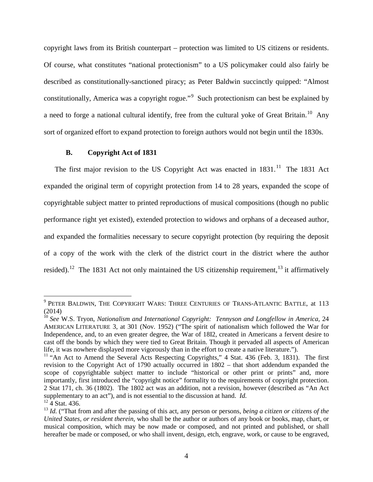copyright laws from its British counterpart – protection was limited to US citizens or residents. Of course, what constitutes "national protectionism" to a US policymaker could also fairly be described as constitutionally-sanctioned piracy; as Peter Baldwin succinctly quipped: "Almost constitutionally, America was a copyright rogue."<sup>[9](#page-3-0)</sup> Such protectionism can best be explained by a need to forge a national cultural identify, free from the cultural yoke of Great Britain.<sup>10</sup> Any sort of organized effort to expand protection to foreign authors would not begin until the 1830s.

## <span id="page-3-6"></span><span id="page-3-5"></span>**B. Copyright Act of 1831**

The first major revision to the US Copyright Act was enacted in  $1831$ .<sup>11</sup> The 1831 Act expanded the original term of copyright protection from 14 to 28 years, expanded the scope of copyrightable subject matter to printed reproductions of musical compositions (though no public performance right yet existed), extended protection to widows and orphans of a deceased author, and expanded the formalities necessary to secure copyright protection (by requiring the deposit of a copy of the work with the clerk of the district court in the district where the author resided).<sup>[12](#page-3-3)</sup> The 1831 Act not only maintained the US citizenship requirement,<sup>[13](#page-3-4)</sup> it affirmatively

<span id="page-3-0"></span><sup>&</sup>lt;sup>9</sup> PETER BALDWIN, THE COPYRIGHT WARS: THREE CENTURIES OF TRANS-ATLANTIC BATTLE, at 113 (2014)

<span id="page-3-1"></span><sup>10</sup> *See* W.S. Tryon, *Nationalism and International Copyright: Tennyson and Longfellow in America,* 24 AMERICAN LITERATURE 3, at 301 (Nov. 1952) ("The spirit of nationalism which followed the War for Independence, and, to an even greater degree, the War of 18I2, created in Americans a fervent desire to cast off the bonds by which they were tied to Great Britain. Though it pervaded all aspects of American life, it was nowhere displayed more vigorously than in the effort to create a native literature.").

<span id="page-3-2"></span><sup>&</sup>lt;sup>11</sup> "An Act to Amend the Several Acts Respecting Copyrights," 4 Stat. 436 (Feb. 3, 1831). The first revision to the Copyright Act of 1790 actually occurred in 1802 – that short addendum expanded the scope of copyrightable subject matter to include "historical or other print or prints" and, more importantly, first introduced the "copyright notice" formality to the requirements of copyright protection. 2 Stat 171, ch. 36 (1802). The 1802 act was an addition, not a revision, however (described as "An Act supplementary to an act"), and is not essential to the discussion at hand. *Id.*

<span id="page-3-3"></span> $12 \overline{4}$  Stat. 436.

<span id="page-3-4"></span><sup>13</sup> *Id.* ("That from and after the passing of this act, any person or persons, *being a citizen or citizens of the United States, or resident therein*, who shall be the author or authors of any book or books, map, chart, or musical composition, which may be now made or composed, and not printed and published, or shall hereafter be made or composed, or who shall invent, design, etch, engrave, work, or cause to be engraved,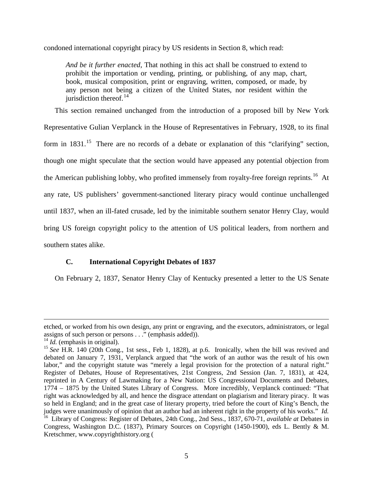condoned international copyright piracy by US residents in Section 8, which read:

*And be it further enacted*, That nothing in this act shall be construed to extend to prohibit the importation or vending, printing, or publishing, of any map, chart, book, musical composition, print or engraving, written, composed, or made, by any person not being a citizen of the United States, nor resident within the jurisdiction thereof. $14$ 

This section remained unchanged from the introduction of a proposed bill by New York Representative Gulian Verplanck in the House of Representatives in February, 1928, to its final form in  $1831$ <sup>[15](#page-4-1)</sup>. There are no records of a debate or explanation of this "clarifying" section, though one might speculate that the section would have appeased any potential objection from the American publishing lobby, who profited immensely from royalty-free foreign reprints.<sup>[16](#page-4-2)</sup> At any rate, US publishers' government-sanctioned literary piracy would continue unchallenged until 1837, when an ill-fated crusade, led by the inimitable southern senator Henry Clay, would bring US foreign copyright policy to the attention of US political leaders, from northern and southern states alike.

# **C. International Copyright Debates of 1837**

On February 2, 1837, Senator Henry Clay of Kentucky presented a letter to the US Senate

 $\overline{a}$ 

etched, or worked from his own design, any print or engraving, and the executors, administrators, or legal assigns of such person or persons . . ." (emphasis added)).

<span id="page-4-0"></span> $14$  *Id.* (emphasis in original).

<span id="page-4-2"></span><span id="page-4-1"></span><sup>&</sup>lt;sup>15</sup> See H.R. 140 (20th Cong., 1st sess., Feb 1, 1828), at p.6. Ironically, when the bill was revived and debated on January 7, 1931, Verplanck argued that "the work of an author was the result of his own labor," and the copyright statute was "merely a legal provision for the protection of a natural right." Register of Debates, House of Representatives, 21st Congress, 2nd Session (Jan. 7, 1831), at 424, reprinted in A Century of Lawmaking for a New Nation: US Congressional Documents and Debates, 1774 – 1875 by the United States Library of Congress. More incredibly, Verplanck continued: "That right was acknowledged by all, and hence the disgrace attendant on plagiarism and literary piracy. It was so held in England; and in the great case of literary property, tried before the court of King's Bench, the judges were unanimously of opinion that an author had an inherent right in the property of his works." *Id.*  16 Library of Congress: Register of Debates, 24th Cong., 2nd Sess., 1837, 670-71, *available at* Debates in Congress, Washington D.C. (1837), Primary Sources on Copyright (1450-1900), eds L. Bently & M. Kretschmer, www.copyrighthistory.org (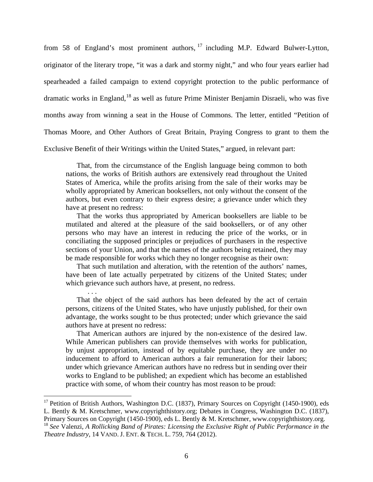from 58 of England's most prominent authors,  $17$  including M.P. Edward Bulwer-Lytton, originator of the literary trope, "it was a dark and stormy night," and who four years earlier had spearheaded a failed campaign to extend copyright protection to the public performance of dramatic works in England, <sup>[18](#page-5-1)</sup> as well as future Prime Minister Benjamin Disraeli, who was five months away from winning a seat in the House of Commons. The letter, entitled "Petition of Thomas Moore, and Other Authors of Great Britain, Praying Congress to grant to them the Exclusive Benefit of their Writings within the United States," argued, in relevant part:

That, from the circumstance of the English language being common to both nations, the works of British authors are extensively read throughout the United States of America, while the profits arising from the sale of their works may be wholly appropriated by American booksellers, not only without the consent of the authors, but even contrary to their express desire; a grievance under which they have at present no redress:

That the works thus appropriated by American booksellers are liable to be mutilated and altered at the pleasure of the said booksellers, or of any other persons who may have an interest in reducing the price of the works, or in conciliating the supposed principles or prejudices of purchasers in the respective sections of your Union, and that the names of the authors being retained, they may be made responsible for works which they no longer recognise as their own:

That such mutilation and alteration, with the retention of the authors' names, have been of late actually perpetrated by citizens of the United States; under which grievance such authors have, at present, no redress.

. . . That the object of the said authors has been defeated by the act of certain persons, citizens of the United States, who have unjustly published, for their own advantage, the works sought to be thus protected; under which grievance the said authors have at present no redress:

That American authors are injured by the non-existence of the desired law. While American publishers can provide themselves with works for publication, by unjust appropriation, instead of by equitable purchase, they are under no inducement to afford to American authors a fair remuneration for their labors; under which grievance American authors have no redress but in sending over their works to England to be published; an expedient which has become an established practice with some, of whom their country has most reason to be proud:

<span id="page-5-1"></span><span id="page-5-0"></span><sup>&</sup>lt;sup>17</sup> Petition of British Authors, Washington D.C. (1837), Primary Sources on Copyright (1450-1900), eds L. Bently & M. Kretschmer, www.copyrighthistory.org; Debates in Congress, Washington D.C. (1837), Primary Sources on Copyright (1450-1900), eds L. Bently & M. Kretschmer, www.copyrighthistory.org. <sup>18</sup> *See* Valenzi, *A Rollicking Band of Pirates: Licensing the Exclusive Right of Public Performance in the Theatre Industry*, 14 VAND. J. ENT. & TECH. L. 759, 764 (2012).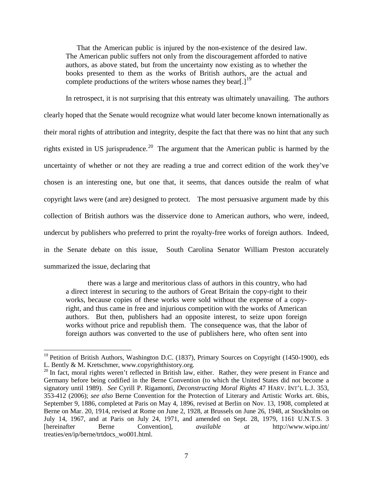That the American public is injured by the non-existence of the desired law. The American public suffers not only from the discouragement afforded to native authors, as above stated, but from the uncertainty now existing as to whether the books presented to them as the works of British authors, are the actual and complete productions of the writers whose names they bear. $1^{19}$  $1^{19}$  $1^{19}$ 

In retrospect, it is not surprising that this entreaty was ultimately unavailing. The authors clearly hoped that the Senate would recognize what would later become known internationally as their moral rights of attribution and integrity, despite the fact that there was no hint that any such rights existed in US jurisprudence.<sup>20</sup> The argument that the American public is harmed by the uncertainty of whether or not they are reading a true and correct edition of the work they've chosen is an interesting one, but one that, it seems, that dances outside the realm of what copyright laws were (and are) designed to protect. The most persuasive argument made by this collection of British authors was the disservice done to American authors, who were, indeed, undercut by publishers who preferred to print the royalty-free works of foreign authors. Indeed, in the Senate debate on this issue, South Carolina Senator William Preston accurately summarized the issue, declaring that

there was a large and meritorious class of authors in this country, who had a direct interest in securing to the authors of Great Britain the copy-right to their works, because copies of these works were sold without the expense of a copyright, and thus came in free and injurious competition with the works of American authors. But then, publishers had an opposite interest, to seize upon foreign works without price and republish them. The consequence was, that the labor of foreign authors was converted to the use of publishers here, who often sent into

<span id="page-6-0"></span><sup>&</sup>lt;sup>19</sup> Petition of British Authors, Washington D.C. (1837), Primary Sources on Copyright (1450-1900), eds L. Bently & M. Kretschmer, www.copyrighthistory.org.

<span id="page-6-1"></span> $20$  In fact, moral rights weren't reflected in British law, either. Rather, they were present in France and Germany before being codified in the Berne Convention (to which the United States did not become a signatory until 1989). *See* Cyrill P. Rigamonti, *Deconstructing Moral Rights* 47 HARV. INT'L L.J. 353, 353-412 (2006); *see also* Berne Convention for the Protection of Literary and Artistic Works art. 6bis, September 9, 1886, completed at Paris on May 4, 1896, revised at Berlin on Nov. 13, 1908, completed at Berne on Mar. 20, 1914, revised at Rome on June 2, 1928, at Brussels on June 26, 1948, at Stockholm on July 14, 1967, and at Paris on July 24, 1971, and amended on Sept. 28, 1979, 1161 U.N.T.S. 3 [hereinafter Berne Convention], *available at* http://www.wipo.int/ treaties/en/ip/berne/trtdocs\_wo001.html.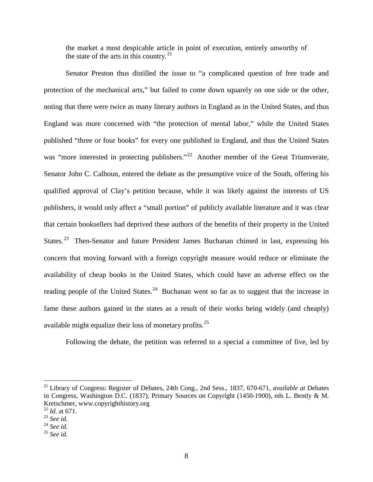the market a most despicable article in point of execution, entirely unworthy of the state of the arts in this country.<sup>[21](#page-7-0)</sup>

Senator Preston thus distilled the issue to "a complicated question of free trade and protection of the mechanical arts," but failed to come down squarely on one side or the other, noting that there were twice as many literary authors in England as in the United States, and thus England was more concerned with "the protection of mental labor," while the United States published "three or four books" for every one published in England, and thus the United States was "more interested in protecting publishers."<sup>22</sup> Another member of the Great Triumverate, Senator John C. Calhoun, entered the debate as the presumptive voice of the South, offering his qualified approval of Clay's petition because, while it was likely against the interests of US publishers, it would only affect a "small portion" of publicly available literature and it was clear that certain booksellers had deprived these authors of the benefits of their property in the United States.<sup>[23](#page-7-2)</sup> Then-Senator and future President James Buchanan chimed in last, expressing his concern that moving forward with a foreign copyright measure would reduce or eliminate the availability of cheap books in the United States, which could have an adverse effect on the reading people of the United States.<sup>24</sup> Buchanan went so far as to suggest that the increase in fame these authors gained in the states as a result of their works being widely (and cheaply) available might equalize their loss of monetary profits.[25](#page-7-4)

Following the debate, the petition was referred to a special a committee of five, led by

<span id="page-7-0"></span> <sup>21</sup> Library of Congress: Register of Debates, 24th Cong., 2nd Sess., 1837, 670-671, *available at* Debates in Congress, Washington D.C. (1837), Primary Sources on Copyright (1450-1900), eds L. Bently & M. Kretschmer, www.copyrighthistory.org

<sup>22</sup> *Id*. at 671.

<span id="page-7-2"></span><span id="page-7-1"></span><sup>23</sup> *See id.*

<span id="page-7-3"></span><sup>24</sup> *See id.*

<span id="page-7-4"></span><sup>25</sup> *See id.*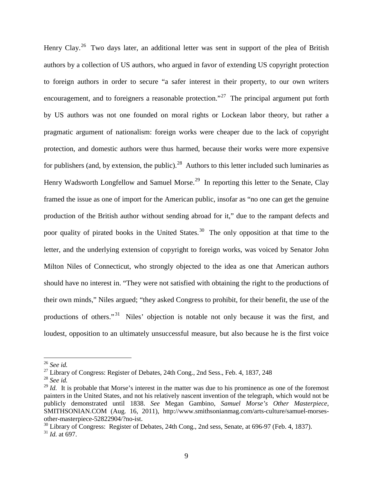Henry Clay.<sup>[26](#page-8-0)</sup> Two days later, an additional letter was sent in support of the plea of British authors by a collection of US authors, who argued in favor of extending US copyright protection to foreign authors in order to secure "a safer interest in their property, to our own writers encouragement, and to foreigners a reasonable protection."<sup>[27](#page-8-1)</sup> The principal argument put forth by US authors was not one founded on moral rights or Lockean labor theory, but rather a pragmatic argument of nationalism: foreign works were cheaper due to the lack of copyright protection, and domestic authors were thus harmed, because their works were more expensive for publishers (and, by extension, the public).<sup>[28](#page-8-2)</sup> Authors to this letter included such luminaries as Henry Wadsworth Longfellow and Samuel Morse.<sup>[29](#page-8-3)</sup> In reporting this letter to the Senate, Clay framed the issue as one of import for the American public, insofar as "no one can get the genuine production of the British author without sending abroad for it," due to the rampant defects and poor quality of pirated books in the United States.<sup>30</sup> The only opposition at that time to the letter, and the underlying extension of copyright to foreign works, was voiced by Senator John Milton Niles of Connecticut, who strongly objected to the idea as one that American authors should have no interest in. "They were not satisfied with obtaining the right to the productions of their own minds," Niles argued; "they asked Congress to prohibit, for their benefit, the use of the productions of others."<sup>[31](#page-8-5)</sup> Niles' objection is notable not only because it was the first, and loudest, opposition to an ultimately unsuccessful measure, but also because he is the first voice

<span id="page-8-0"></span> <sup>26</sup> *See id.*

<span id="page-8-1"></span> $^{27}$  Library of Congress: Register of Debates, 24th Cong., 2nd Sess., Feb. 4, 1837, 248

<span id="page-8-2"></span><sup>28</sup> *See id.*

<span id="page-8-3"></span> $^{29}$  *Id.* It is probable that Morse's interest in the matter was due to his prominence as one of the foremost painters in the United States, and not his relatively nascent invention of the telegraph, which would not be publicly demonstrated until 1838. *See* Megan Gambino, *Samuel Morse's Other Masterpiece*, SMITHSONIAN.COM (Aug. 16, 2011), http://www.smithsonianmag.com/arts-culture/samuel-morsesother-masterpiece-52822904/?no-ist.

<span id="page-8-5"></span><span id="page-8-4"></span> $30$  Library of Congress: Register of Debates, 24th Cong., 2nd sess, Senate, at 696-97 (Feb. 4, 1837).  $^{31}$  *Id.* at 697.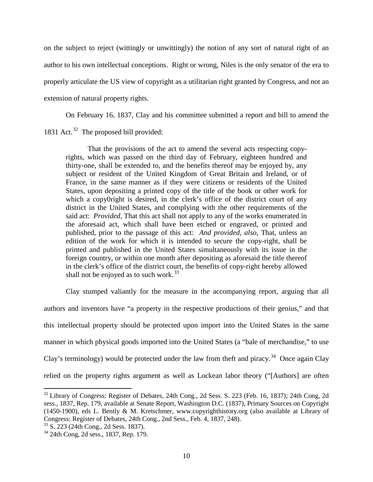on the subject to reject (wittingly or unwittingly) the notion of any sort of natural right of an author to his own intellectual conceptions. Right or wrong, Niles is the only senator of the era to properly articulate the US view of copyright as a utilitarian right granted by Congress, and not an extension of natural property rights.

On February 16, 1837, Clay and his committee submitted a report and bill to amend the 1831 Act.<sup>[32](#page-9-0)</sup> The proposed bill provided:

That the provisions of the act to amend the several acts respecting copyrights, which was passed on the third day of February, eighteen hundred and thirty-one, shall be extended to, and the benefits thereof may be enjoyed by, any subject or resident of the United Kingdom of Great Britain and Ireland, or of France, in the same manner as if they were citizens or residents of the United States, upon depositing a printed copy of the title of the book or other work for which a copy0right is desired, in the clerk's office of the district court of any district in the United States, and complying with the other requirements of the said act: *Provided*, That this act shall not apply to any of the works enumerated in the aforesaid act, which shall have been etched or engraved, or printed and published, prior to the passage of this act: *And provided, also*, That, unless an edition of the work for which it is intended to secure the copy-right, shall be printed and published in the United States simultaneously with its issue in the foreign country, or within one month after depositing as aforesaid the title thereof in the clerk's office of the district court, the benefits of copy-right hereby allowed shall not be enjoyed as to such work. $33$ 

Clay stumped valiantly for the measure in the accompanying report, arguing that all authors and inventors have "a property in the respective productions of their genius," and that this intellectual property should be protected upon import into the United States in the same manner in which physical goods imported into the United States (a "bale of merchandise," to use Clay's terminology) would be protected under the law from theft and piracy.<sup>[34](#page-9-2)</sup> Once again Clay relied on the property rights argument as well as Lockean labor theory ("[Authors] are often

<span id="page-9-0"></span><sup>&</sup>lt;sup>32</sup> Library of Congress: Register of Debates, 24th Cong., 2d Sess. S. 223 (Feb. 16, 1837); 24th Cong, 2d sess., 1837, Rep. 179, available at Senate Report, Washington D.C. (1837), Primary Sources on Copyright (1450-1900), eds L. Bently & M. Kretschmer, www.copyrighthistory.org (also available at Library of Congress: Register of Debates, 24th Cong., 2nd Sess., Feb. 4, 1837, 248).

<span id="page-9-1"></span><sup>33</sup> S. 223 (24th Cong., 2d Sess. 1837).

<span id="page-9-2"></span><sup>34</sup> 24th Cong, 2d sess., 1837, Rep. 179.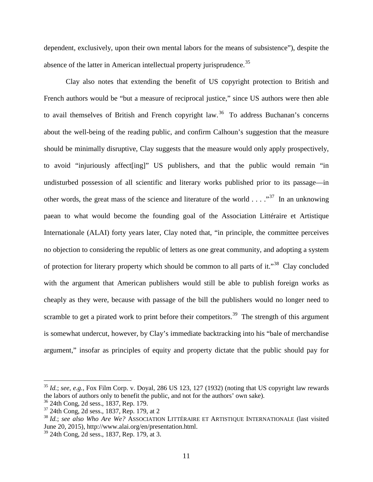dependent, exclusively, upon their own mental labors for the means of subsistence"), despite the absence of the latter in American intellectual property jurisprudence.<sup>[35](#page-10-0)</sup>

Clay also notes that extending the benefit of US copyright protection to British and French authors would be "but a measure of reciprocal justice," since US authors were then able to avail themselves of British and French copyright law.<sup>[36](#page-10-1)</sup> To address Buchanan's concerns about the well-being of the reading public, and confirm Calhoun's suggestion that the measure should be minimally disruptive, Clay suggests that the measure would only apply prospectively, to avoid "injuriously affect[ing]" US publishers, and that the public would remain "in undisturbed possession of all scientific and literary works published prior to its passage—in other words, the great mass of the science and literature of the world  $\ldots$ ."<sup>37</sup> In an unknowing paean to what would become the founding goal of the Association Littéraire et Artistique Internationale (ALAI) forty years later, Clay noted that, "in principle, the committee perceives no objection to considering the republic of letters as one great community, and adopting a system of protection for literary property which should be common to all parts of it."[38](#page-10-3) Clay concluded with the argument that American publishers would still be able to publish foreign works as cheaply as they were, because with passage of the bill the publishers would no longer need to scramble to get a pirated work to print before their competitors.<sup>[39](#page-10-4)</sup> The strength of this argument is somewhat undercut, however, by Clay's immediate backtracking into his "bale of merchandise argument," insofar as principles of equity and property dictate that the public should pay for

<span id="page-10-0"></span> <sup>35</sup> *Id.*; *see, e.g.*, Fox Film Corp. v. Doyal, 286 US 123, 127 (1932) (noting that US copyright law rewards the labors of authors only to benefit the public, and not for the authors' own sake).

<span id="page-10-1"></span><sup>36</sup> 24th Cong, 2d sess., 1837, Rep. 179.

<span id="page-10-2"></span><sup>37</sup> 24th Cong, 2d sess., 1837, Rep. 179, at 2

<span id="page-10-3"></span><sup>38</sup> *Id.*; *see also Who Are We?* ASSOCIATION LITTÉRAIRE ET ARTISTIQUE INTERNATIONALE (last visited June 20, 2015), http://www.alai.org/en/presentation.html.

<span id="page-10-4"></span><sup>39</sup> 24th Cong, 2d sess., 1837, Rep. 179, at 3.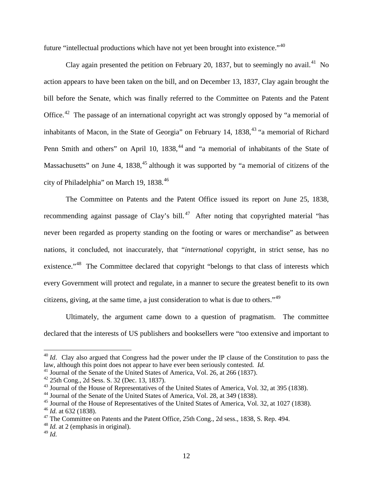future "intellectual productions which have not yet been brought into existence."[40](#page-11-0)

Clay again presented the petition on February 20, 1837, but to seemingly no avail.<sup>[41](#page-11-1)</sup> No action appears to have been taken on the bill, and on December 13, 1837, Clay again brought the bill before the Senate, which was finally referred to the Committee on Patents and the Patent Office.<sup>[42](#page-11-2)</sup> The passage of an international copyright act was strongly opposed by "a memorial of inhabitants of Macon, in the State of Georgia" on February 14,  $1838$ <sup>[43](#page-11-3)</sup> "a memorial of Richard Penn Smith and others" on April 10, 1838,<sup>[44](#page-11-4)</sup> and "a memorial of inhabitants of the State of Massachusetts" on June 4,  $1838<sup>45</sup>$  $1838<sup>45</sup>$  $1838<sup>45</sup>$  although it was supported by "a memorial of citizens of the city of Philadelphia" on March 19, 1838.<sup>[46](#page-11-6)</sup>

The Committee on Patents and the Patent Office issued its report on June 25, 1838, recommending against passage of Clay's bill.<sup>[47](#page-11-7)</sup> After noting that copyrighted material "has never been regarded as property standing on the footing or wares or merchandise" as between nations, it concluded, not inaccurately, that "*international* copyright, in strict sense, has no existence."<sup>48</sup> The Committee declared that copyright "belongs to that class of interests which every Government will protect and regulate, in a manner to secure the greatest benefit to its own citizens, giving, at the same time, a just consideration to what is due to others."[49](#page-11-9)

Ultimately, the argument came down to a question of pragmatism. The committee declared that the interests of US publishers and booksellers were "too extensive and important to

<span id="page-11-0"></span><sup>&</sup>lt;sup>40</sup> *Id*. Clay also argued that Congress had the power under the IP clause of the Constitution to pass the law, although this point does not appear to have ever been seriously contested. *Id.*

<span id="page-11-1"></span><sup>&</sup>lt;sup>41</sup> Journal of the Senate of the United States of America, Vol. 26, at 266 (1837).

<span id="page-11-2"></span> $42$  25th Cong., 2d Sess. S. 32 (Dec. 13, 1837).

<span id="page-11-3"></span><sup>&</sup>lt;sup>43</sup> Journal of the House of Representatives of the United States of America, Vol. 32, at 395 (1838).

<span id="page-11-4"></span><sup>44</sup> Journal of the Senate of the United States of America, Vol. 28, at 349 (1838).

<span id="page-11-5"></span><sup>&</sup>lt;sup>45</sup> Journal of the House of Representatives of the United States of America, Vol. 32, at 1027 (1838).

<span id="page-11-6"></span><sup>46</sup> *Id.* at 632 (1838).

<span id="page-11-7"></span> $47$  The Committee on Patents and the Patent Office, 25th Cong., 2d sess., 1838, S. Rep. 494.

<span id="page-11-8"></span><sup>&</sup>lt;sup>48</sup> *Id.* at 2 (emphasis in original).

<span id="page-11-9"></span><sup>49</sup> *Id.*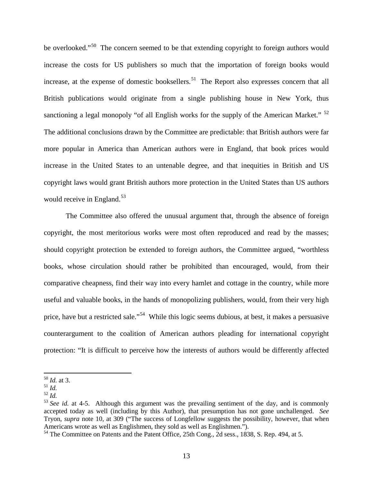be overlooked."<sup>[50](#page-12-0)</sup> The concern seemed to be that extending copyright to foreign authors would increase the costs for US publishers so much that the importation of foreign books would increase, at the expense of domestic booksellers.<sup>[51](#page-12-1)</sup> The Report also expresses concern that all British publications would originate from a single publishing house in New York, thus sanctioning a legal monopoly "of all English works for the supply of the American Market."  $52$ The additional conclusions drawn by the Committee are predictable: that British authors were far more popular in America than American authors were in England, that book prices would increase in the United States to an untenable degree, and that inequities in British and US copyright laws would grant British authors more protection in the United States than US authors would receive in England.<sup>53</sup>

The Committee also offered the unusual argument that, through the absence of foreign copyright, the most meritorious works were most often reproduced and read by the masses; should copyright protection be extended to foreign authors, the Committee argued, "worthless books, whose circulation should rather be prohibited than encouraged, would, from their comparative cheapness, find their way into every hamlet and cottage in the country, while more useful and valuable books, in the hands of monopolizing publishers, would, from their very high price, have but a restricted sale."<sup>[54](#page-12-4)</sup> While this logic seems dubious, at best, it makes a persuasive counterargument to the coalition of American authors pleading for international copyright protection: "It is difficult to perceive how the interests of authors would be differently affected

<span id="page-12-0"></span> <sup>50</sup> *Id.* at 3.

<span id="page-12-1"></span><sup>51</sup> *Id.*

<span id="page-12-2"></span><sup>52</sup> *Id.*

<span id="page-12-3"></span><sup>&</sup>lt;sup>53</sup> See id. at 4-5. Although this argument was the prevailing sentiment of the day, and is commonly accepted today as well (including by this Author), that presumption has not gone unchallenged. *See*  Tryon, *supra* note [10,](#page-3-5) at 309 ("The success of Longfellow suggests the possibility, however, that when Americans wrote as well as Englishmen, they sold as well as Englishmen.").

<span id="page-12-4"></span><sup>&</sup>lt;sup>54</sup> The Committee on Patents and the Patent Office, 25th Cong., 2d sess., 1838, S. Rep. 494, at 5.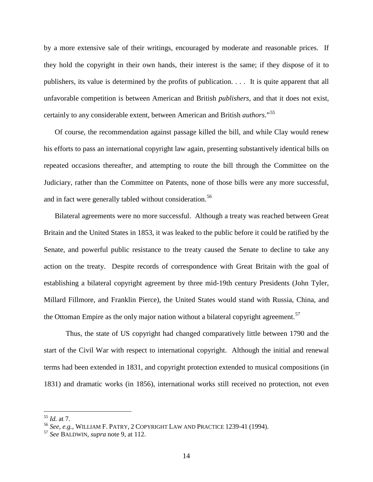by a more extensive sale of their writings, encouraged by moderate and reasonable prices. If they hold the copyright in their own hands, their interest is the same; if they dispose of it to publishers, its value is determined by the profits of publication. . . . It is quite apparent that all unfavorable competition is between American and British *publishers*, and that it does not exist, certainly to any considerable extent, between American and British *authors*."[55](#page-13-0)

Of course, the recommendation against passage killed the bill, and while Clay would renew his efforts to pass an international copyright law again, presenting substantively identical bills on repeated occasions thereafter, and attempting to route the bill through the Committee on the Judiciary, rather than the Committee on Patents, none of those bills were any more successful, and in fact were generally tabled without consideration.<sup>[56](#page-13-1)</sup>

Bilateral agreements were no more successful. Although a treaty was reached between Great Britain and the United States in 1853, it was leaked to the public before it could be ratified by the Senate, and powerful public resistance to the treaty caused the Senate to decline to take any action on the treaty. Despite records of correspondence with Great Britain with the goal of establishing a bilateral copyright agreement by three mid-19th century Presidents (John Tyler, Millard Fillmore, and Franklin Pierce), the United States would stand with Russia, China, and the Ottoman Empire as the only major nation without a bilateral copyright agreement.<sup>[57](#page-13-2)</sup>

Thus, the state of US copyright had changed comparatively little between 1790 and the start of the Civil War with respect to international copyright. Although the initial and renewal terms had been extended in 1831, and copyright protection extended to musical compositions (in 1831) and dramatic works (in 1856), international works still received no protection, not even

<span id="page-13-0"></span> <sup>55</sup> *Id.* at 7.

<span id="page-13-2"></span><span id="page-13-1"></span><sup>56</sup> *See, e.g.*, WILLIAM F. PATRY, <sup>2</sup> COPYRIGHT LAW AND PRACTICE 1239-41 (1994). 57 *See* BALDWIN, *supra* note [9,](#page-3-6) at 112.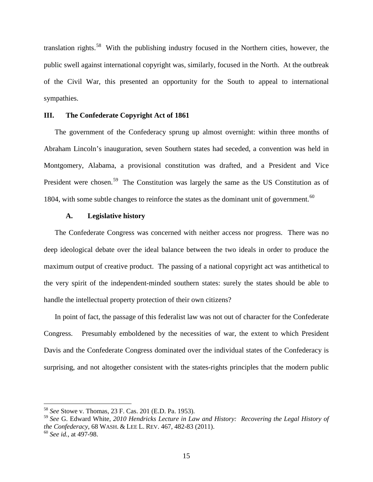translation rights.[58](#page-14-0) With the publishing industry focused in the Northern cities, however, the public swell against international copyright was, similarly, focused in the North. At the outbreak of the Civil War, this presented an opportunity for the South to appeal to international sympathies.

#### **III. The Confederate Copyright Act of 1861**

The government of the Confederacy sprung up almost overnight: within three months of Abraham Lincoln's inauguration, seven Southern states had seceded, a convention was held in Montgomery, Alabama, a provisional constitution was drafted, and a President and Vice President were chosen.<sup>[59](#page-14-1)</sup> The Constitution was largely the same as the US Constitution as of 1804, with some subtle changes to reinforce the states as the dominant unit of government.<sup>[60](#page-14-2)</sup>

#### <span id="page-14-3"></span>**A. Legislative history**

The Confederate Congress was concerned with neither access nor progress. There was no deep ideological debate over the ideal balance between the two ideals in order to produce the maximum output of creative product. The passing of a national copyright act was antithetical to the very spirit of the independent-minded southern states: surely the states should be able to handle the intellectual property protection of their own citizens?

In point of fact, the passage of this federalist law was not out of character for the Confederate Congress. Presumably emboldened by the necessities of war, the extent to which President Davis and the Confederate Congress dominated over the individual states of the Confederacy is surprising, and not altogether consistent with the states-rights principles that the modern public

<span id="page-14-0"></span> <sup>58</sup> *See* Stowe v. Thomas*,* 23 F. Cas. 201 (E.D. Pa. 1953).

<span id="page-14-1"></span><sup>59</sup> *See* G. Edward White, *2010 Hendricks Lecture in Law and History: Recovering the Legal History of the Confederacy*, 68 WASH. & LEE L. REV. 467, 482-83 (2011).

<span id="page-14-2"></span><sup>60</sup> *See id.*, at 497-98.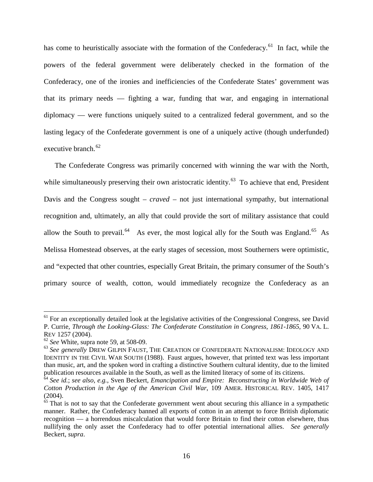<span id="page-15-5"></span>has come to heuristically associate with the formation of the Confederacy.<sup>[61](#page-15-0)</sup> In fact, while the powers of the federal government were deliberately checked in the formation of the Confederacy, one of the ironies and inefficiencies of the Confederate States' government was that its primary needs — fighting a war, funding that war, and engaging in international diplomacy — were functions uniquely suited to a centralized federal government, and so the lasting legacy of the Confederate government is one of a uniquely active (though underfunded) executive branch. $62$ 

The Confederate Congress was primarily concerned with winning the war with the North, while simultaneously preserving their own aristocratic identity.<sup>[63](#page-15-2)</sup> To achieve that end, President Davis and the Congress sought – *craved* – not just international sympathy, but international recognition and, ultimately, an ally that could provide the sort of military assistance that could allow the South to prevail.<sup>64</sup> As ever, the most logical ally for the South was England.<sup>65</sup> As Melissa Homestead observes, at the early stages of secession, most Southerners were optimistic, and "expected that other countries, especially Great Britain, the primary consumer of the South's primary source of wealth, cotton, would immediately recognize the Confederacy as an

<span id="page-15-0"></span> $61$  For an exceptionally detailed look at the legislative activities of the Congressional Congress, see David P. Currie*, Through the Looking-Glass: The Confederate Constitution in Congress, 1861-1865*, 90 VA. L. REV 1257 (2004).

<span id="page-15-1"></span><sup>62</sup> *See* White, supra note [59,](#page-14-3) at 508-09.

<span id="page-15-2"></span><sup>63</sup> *See generally* DREW GILPIN FAUST, THE CREATION OF CONFEDERATE NATIONALISM: IDEOLOGY AND IDENTITY IN THE CIVIL WAR SOUTH (1988). Faust argues, however, that printed text was less important than music, art, and the spoken word in crafting a distinctive Southern cultural identity, due to the limited publication resources available in the South, as well as the limited literacy of some of its citizens.

<span id="page-15-3"></span><sup>64</sup> *See id.*; *see also, e.g.*, Sven Beckert, *Emancipation and Empire: Reconstructing in Worldwide Web of Cotton Production in the Age of the American Civil War*, 109 AMER. HISTORICAL REV. 1405, 1417 (2004).

<span id="page-15-4"></span> $65$  That is not to say that the Confederate government went about securing this alliance in a sympathetic manner. Rather, the Confederacy banned all exports of cotton in an attempt to force British diplomatic recognition — a horrendous miscalculation that would force Britain to find their cotton elsewhere, thus nullifying the only asset the Confederacy had to offer potential international allies. *See generally* Beckert, *supra*.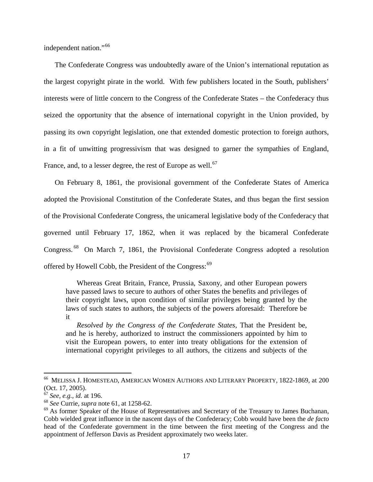independent nation."<sup>[66](#page-16-0)</sup>

The Confederate Congress was undoubtedly aware of the Union's international reputation as the largest copyright pirate in the world. With few publishers located in the South, publishers' interests were of little concern to the Congress of the Confederate States – the Confederacy thus seized the opportunity that the absence of international copyright in the Union provided, by passing its own copyright legislation, one that extended domestic protection to foreign authors, in a fit of unwitting progressivism that was designed to garner the sympathies of England, France, and, to a lesser degree, the rest of Europe as well.<sup>[67](#page-16-1)</sup>

On February 8, 1861, the provisional government of the Confederate States of America adopted the Provisional Constitution of the Confederate States, and thus began the first session of the Provisional Confederate Congress, the unicameral legislative body of the Confederacy that governed until February 17, 1862, when it was replaced by the bicameral Confederate Congress.<sup>[68](#page-16-2)</sup> On March 7, 1861, the Provisional Confederate Congress adopted a resolution offered by Howell Cobb, the President of the Congress:<sup>[69](#page-16-3)</sup>

Whereas Great Britain, France, Prussia, Saxony, and other European powers have passed laws to secure to authors of other States the benefits and privileges of their copyright laws, upon condition of similar privileges being granted by the laws of such states to authors, the subjects of the powers aforesaid: Therefore be it

*Resolved by the Congress of the Confederate States*, That the President be, and he is hereby, authorized to instruct the commissioners appointed by him to visit the European powers, to enter into treaty obligations for the extension of international copyright privileges to all authors, the citizens and subjects of the

<span id="page-16-0"></span> <sup>66</sup> MELISSA J. HOMESTEAD, AMERICAN WOMEN AUTHORS AND LITERARY PROPERTY, 1822-1869, at 200 (Oct. 17, 2005).

<sup>67</sup> *See, e.g.*, *id.* at 196.

<span id="page-16-2"></span><span id="page-16-1"></span><sup>68</sup> *See* Currie, *supra* note [61,](#page-15-5) at 1258-62.

<span id="page-16-3"></span> $69$  As former Speaker of the House of Representatives and Secretary of the Treasury to James Buchanan, Cobb wielded great influence in the nascent days of the Confederacy; Cobb would have been the *de facto* head of the Confederate government in the time between the first meeting of the Congress and the appointment of Jefferson Davis as President approximately two weeks later.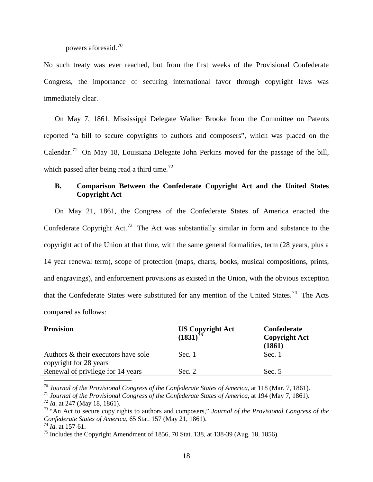# powers aforesaid.[70](#page-17-0)

No such treaty was ever reached, but from the first weeks of the Provisional Confederate Congress, the importance of securing international favor through copyright laws was immediately clear.

On May 7, 1861, Mississippi Delegate Walker Brooke from the Committee on Patents reported "a bill to secure copyrights to authors and composers", which was placed on the Calendar.<sup>71</sup> On May 18, Louisiana Delegate John Perkins moved for the passage of the bill, which passed after being read a third time.<sup>[72](#page-17-2)</sup>

# **B. Comparison Between the Confederate Copyright Act and the United States Copyright Act**

On May 21, 1861, the Congress of the Confederate States of America enacted the Confederate Copyright Act.<sup>[73](#page-17-3)</sup> The Act was substantially similar in form and substance to the copyright act of the Union at that time, with the same general formalities, term (28 years, plus a 14 year renewal term), scope of protection (maps, charts, books, musical compositions, prints, and engravings), and enforcement provisions as existed in the Union, with the obvious exception that the Confederate States were substituted for any mention of the United States.<sup>74</sup> The Acts compared as follows:

| <b>Provision</b>                                              | US Copyright Act $(1831)^{75}$ | Confederate<br><b>Copyright Act</b><br>(1861) |
|---------------------------------------------------------------|--------------------------------|-----------------------------------------------|
| Authors & their executors have sole<br>copyright for 28 years | Sec. 1                         | Sec. 1                                        |
| Renewal of privilege for 14 years                             | Sec. 2                         | Sec. 5                                        |

<span id="page-17-0"></span>70 *Journal of the Provisional Congress of the Confederate States of America*, at 118 (Mar. 7, 1861).

<span id="page-17-1"></span><sup>71</sup> *Journal of the Provisional Congress of the Confederate States of America*, at 194 (May 7, 1861).

<span id="page-17-2"></span><sup>72</sup> *Id.* at 247 (May 18, 1861).

<span id="page-17-3"></span><sup>73</sup> "An Act to secure copy rights to authors and composers," *Journal of the Provisional Congress of the Confederate States of America*, 65 Stat. 157 (May 21, 1861).

<span id="page-17-4"></span><sup>74</sup> *Id.* at 157-61.

<span id="page-17-5"></span><sup>&</sup>lt;sup>75</sup> Includes the Copyright Amendment of 1856, 70 Stat. 138, at 138-39 (Aug. 18, 1856).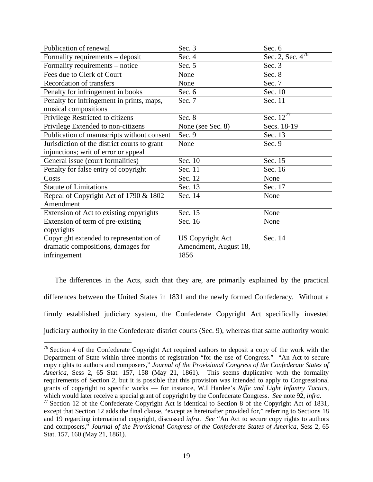| Publication of renewal                       | Sec. 3                  | Sec. 6                |
|----------------------------------------------|-------------------------|-----------------------|
| Formality requirements – deposit             | Sec. 4                  | Sec. 2, Sec. $4^{76}$ |
| Formality requirements – notice              | Sec. 5                  | Sec. 3                |
| Fees due to Clerk of Court                   | None                    | Sec. 8                |
| <b>Recordation of transfers</b>              | None                    | Sec. 7                |
| Penalty for infringement in books            | Sec. 6                  | Sec. 10               |
| Penalty for infringement in prints, maps,    | Sec. 7                  | Sec. 11               |
| musical compositions                         |                         |                       |
| Privilege Restricted to citizens             | Sec. 8                  | Sec. $12^{77}$        |
| Privilege Extended to non-citizens           | None (see Sec. 8)       | Secs. 18-19           |
| Publication of manuscripts without consent   | Sec. 9                  | Sec. 13               |
| Jurisdiction of the district courts to grant | None                    | Sec. 9                |
| injunctions; writ of error or appeal         |                         |                       |
| General issue (court formalities)            | Sec. 10                 | Sec. 15               |
| Penalty for false entry of copyright         | Sec. 11                 | Sec. 16               |
| Costs                                        | Sec. 12                 | None                  |
| <b>Statute of Limitations</b>                | Sec. 13                 | Sec. 17               |
| Repeal of Copyright Act of 1790 & 1802       | Sec. 14                 | None                  |
| Amendment                                    |                         |                       |
| Extension of Act to existing copyrights      | Sec. 15                 | None                  |
| Extension of term of pre-existing            | Sec. 16                 | None                  |
| copyrights                                   |                         |                       |
| Copyright extended to representation of      | <b>US Copyright Act</b> | Sec. 14               |
| dramatic compositions, damages for           | Amendment, August 18,   |                       |
| infringement                                 | 1856                    |                       |

The differences in the Acts, such that they are, are primarily explained by the practical differences between the United States in 1831 and the newly formed Confederacy. Without a firmly established judiciary system, the Confederate Copyright Act specifically invested judiciary authority in the Confederate district courts (Sec. 9), whereas that same authority would

<span id="page-18-0"></span><sup>&</sup>lt;sup>76</sup> Section 4 of the Confederate Copyright Act required authors to deposit a copy of the work with the Department of State within three months of registration "for the use of Congress." "An Act to secure copy rights to authors and composers," *Journal of the Provisional Congress of the Confederate States of America*, Sess 2, 65 Stat. 157, 158 (May 21, 1861). This seems duplicative with the formality requirements of Section 2, but it is possible that this provision was intended to apply to Congressional grants of copyright to specific works — for instance, W.I Hardee's *Rifle and Light Infantry Tactics,* 

<span id="page-18-1"></span><sup>&</sup>lt;sup>77</sup> Section 12 of the Confederate Copyright Act is identical to Section 8 of the Copyright Act of 1831, except that Section 12 adds the final clause, "except as hereinafter provided for," referring to Sections 18 and 19 regarding international copyright, discussed *infra*. *See* "An Act to secure copy rights to authors and composers," *Journal of the Provisional Congress of the Confederate States of America*, Sess 2, 65 Stat. 157, 160 (May 21, 1861).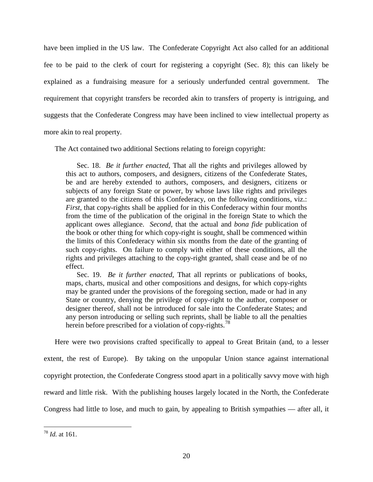have been implied in the US law. The Confederate Copyright Act also called for an additional fee to be paid to the clerk of court for registering a copyright (Sec. 8); this can likely be explained as a fundraising measure for a seriously underfunded central government. The requirement that copyright transfers be recorded akin to transfers of property is intriguing, and suggests that the Confederate Congress may have been inclined to view intellectual property as

more akin to real property.

The Act contained two additional Sections relating to foreign copyright:

Sec. 18. *Be it further enacted*, That all the rights and privileges allowed by this act to authors, composers, and designers, citizens of the Confederate States, be and are hereby extended to authors, composers, and designers, citizens or subjects of any foreign State or power, by whose laws like rights and privileges are granted to the citizens of this Confederacy, on the following conditions, viz.: *First*, that copy-rights shall be applied for in this Confederacy within four months from the time of the publication of the original in the foreign State to which the applicant owes allegiance. *Second*, that the actual and *bona fide* publication of the book or other thing for which copy-right is sought, shall be commenced within the limits of this Confederacy within six months from the date of the granting of such copy-rights. On failure to comply with either of these conditions, all the rights and privileges attaching to the copy-right granted, shall cease and be of no effect.

Sec. 19. *Be it further enacted*, That all reprints or publications of books, maps, charts, musical and other compositions and designs, for which copy-rights may be granted under the provisions of the foregoing section, made or had in any State or country, denying the privilege of copy-right to the author, composer or designer thereof, shall not be introduced for sale into the Confederate States; and any person introducing or selling such reprints, shall be liable to all the penalties herein before prescribed for a violation of copy-rights.<sup>[78](#page-19-0)</sup>

Here were two provisions crafted specifically to appeal to Great Britain (and, to a lesser extent, the rest of Europe). By taking on the unpopular Union stance against international copyright protection, the Confederate Congress stood apart in a politically savvy move with high reward and little risk. With the publishing houses largely located in the North, the Confederate Congress had little to lose, and much to gain, by appealing to British sympathies — after all, it

<span id="page-19-0"></span> <sup>78</sup> *Id.* at 161.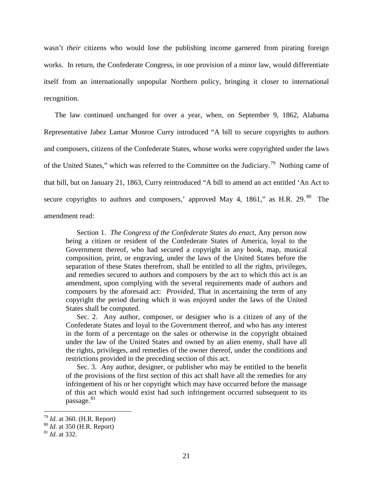wasn't *their* citizens who would lose the publishing income garnered from pirating foreign works. In return, the Confederate Congress, in one provision of a minor law, would differentiate itself from an internationally unpopular Northern policy, bringing it closer to international recognition.

The law continued unchanged for over a year, when, on September 9, 1862, Alabama Representative Jabez Lamar Monroe Curry introduced "A bill to secure copyrights to authors and composers, citizens of the Confederate States, whose works were copyrighted under the laws of the United States," which was referred to the Committee on the Judiciary.[79](#page-20-0) Nothing came of that bill, but on January 21, 1863, Curry reintroduced "A bill to amend an act entitled 'An Act to secure copyrights to authors and composers,' approved May 4, 1861," as H.R. 29. $80$  The amendment read:

Section 1. *The Congress of the Confederate States do enact*, Any person now being a citizen or resident of the Confederate States of America, loyal to the Government thereof, who had secured a copyright in any book, map, musical composition, print, or engraving, under the laws of the United States before the separation of these States therefrom, shall be entitled to all the rights, privileges, and remedies secured to authors and composers by the act to which this act is an amendment, upon complying with the several requirements made of authors and composers by the aforesaid act: *Provided*, That in ascertaining the term of any copyright the period during which it was enjoyed under the laws of the United States shall be computed.

Sec. 2. Any author, composer, or designer who is a citizen of any of the Confederate States and loyal to the Government thereof, and who has any interest in the form of a percentage on the sales or otherwise in the copyright obtained under the law of the United States and owned by an alien enemy, shall have all the rights, privileges, and remedies of the owner thereof, under the conditions and restrictions provided in the preceding section of this act.

Sec. 3. Any author, designer, or publisher who may be entitled to the benefit of the provisions of the first section of this act shall have all the remedies for any infringement of his or her copyright which may have occurred before the massage of this act which would exist had such infringement occurred subsequent to its passage.<sup>[81](#page-20-2)</sup>

<span id="page-20-0"></span> <sup>79</sup> *Id.* at 360. (H.R. Report)

<span id="page-20-1"></span><sup>80</sup> *Id.* at 350 (H.R. Report)

<span id="page-20-2"></span><sup>81</sup> *Id.* at 332.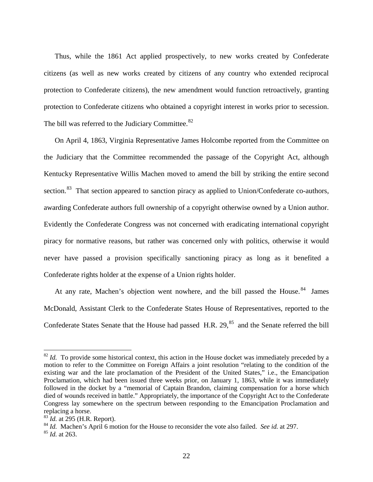Thus, while the 1861 Act applied prospectively, to new works created by Confederate citizens (as well as new works created by citizens of any country who extended reciprocal protection to Confederate citizens), the new amendment would function retroactively, granting protection to Confederate citizens who obtained a copyright interest in works prior to secession. The bill was referred to the Judiciary Committee.<sup>[82](#page-21-0)</sup>

On April 4, 1863, Virginia Representative James Holcombe reported from the Committee on the Judiciary that the Committee recommended the passage of the Copyright Act, although Kentucky Representative Willis Machen moved to amend the bill by striking the entire second section.<sup>83</sup> That section appeared to sanction piracy as applied to Union/Confederate co-authors, awarding Confederate authors full ownership of a copyright otherwise owned by a Union author. Evidently the Confederate Congress was not concerned with eradicating international copyright piracy for normative reasons, but rather was concerned only with politics, otherwise it would never have passed a provision specifically sanctioning piracy as long as it benefited a Confederate rights holder at the expense of a Union rights holder.

At any rate, Machen's objection went nowhere, and the bill passed the House.<sup>[84](#page-21-2)</sup> James McDonald, Assistant Clerk to the Confederate States House of Representatives, reported to the Confederate States Senate that the House had passed H.R. 29,<sup>[85](#page-21-3)</sup> and the Senate referred the bill

<span id="page-21-0"></span><sup>&</sup>lt;sup>82</sup> *Id.* To provide some historical context, this action in the House docket was immediately preceded by a motion to refer to the Committee on Foreign Affairs a joint resolution "relating to the condition of the existing war and the late proclamation of the President of the United States," i.e., the Emancipation Proclamation, which had been issued three weeks prior, on January 1, 1863, while it was immediately followed in the docket by a "memorial of Captain Brandon, claiming compensation for a horse which died of wounds received in battle." Appropriately, the importance of the Copyright Act to the Confederate Congress lay somewhere on the spectrum between responding to the Emancipation Proclamation and replacing a horse.

<span id="page-21-1"></span><sup>83</sup> *Id.* at 295 (H.R. Report).

<span id="page-21-2"></span><sup>84</sup> *Id.* Machen's April 6 motion for the House to reconsider the vote also failed. *See id.* at 297.

<span id="page-21-3"></span><sup>85</sup> *Id.* at 263.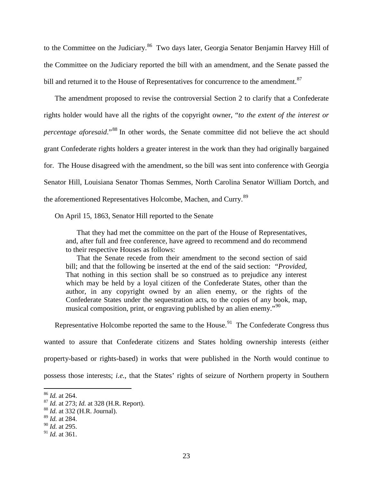to the Committee on the Judiciary.<sup>86</sup> Two days later, Georgia Senator Benjamin Harvey Hill of the Committee on the Judiciary reported the bill with an amendment, and the Senate passed the bill and returned it to the House of Representatives for concurrence to the amendment.<sup>87</sup>

The amendment proposed to revise the controversial Section 2 to clarify that a Confederate rights holder would have all the rights of the copyright owner, "*to the extent of the interest or percentage aforesaid*."<sup>[88](#page-22-2)</sup> In other words, the Senate committee did not believe the act should grant Confederate rights holders a greater interest in the work than they had originally bargained for. The House disagreed with the amendment, so the bill was sent into conference with Georgia Senator Hill, Louisiana Senator Thomas Semmes, North Carolina Senator William Dortch, and the aforementioned Representatives Holcombe, Machen, and Curry.<sup>[89](#page-22-3)</sup>

On April 15, 1863, Senator Hill reported to the Senate

That they had met the committee on the part of the House of Representatives, and, after full and free conference, have agreed to recommend and do recommend to their respective Houses as follows:

That the Senate recede from their amendment to the second section of said bill; and that the following be inserted at the end of the said section: "*Provided,*  That nothing in this section shall be so construed as to prejudice any interest which may be held by a loyal citizen of the Confederate States, other than the author, in any copyright owned by an alien enemy, or the rights of the Confederate States under the sequestration acts, to the copies of any book, map, musical composition, print, or engraving published by an alien enemy."<sup>[90](#page-22-4)</sup>

Representative Holcombe reported the same to the House.<sup>[91](#page-22-5)</sup> The Confederate Congress thus wanted to assure that Confederate citizens and States holding ownership interests (either property-based or rights-based) in works that were published in the North would continue to possess those interests; *i.e.*, that the States' rights of seizure of Northern property in Southern

<span id="page-22-0"></span> <sup>86</sup> *Id.* at 264.

<span id="page-22-1"></span><sup>87</sup> *Id.* at 273; *Id.* at 328 (H.R. Report).

<span id="page-22-2"></span><sup>88</sup> *Id.* at 332 (H.R. Journal).

<span id="page-22-3"></span><sup>89</sup> *Id.* at 284.

<span id="page-22-4"></span><sup>90</sup> *Id.* at 295.

<span id="page-22-5"></span><sup>91</sup> *Id.* at 361.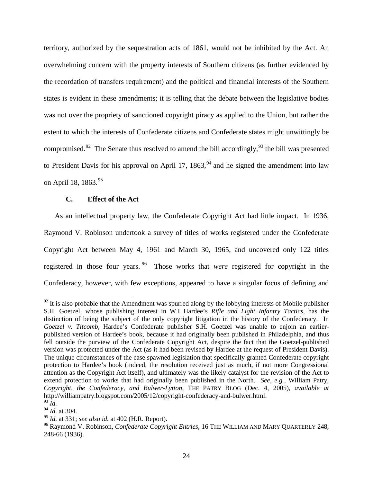territory, authorized by the sequestration acts of 1861, would not be inhibited by the Act. An overwhelming concern with the property interests of Southern citizens (as further evidenced by the recordation of transfers requirement) and the political and financial interests of the Southern states is evident in these amendments; it is telling that the debate between the legislative bodies was not over the propriety of sanctioned copyright piracy as applied to the Union, but rather the extent to which the interests of Confederate citizens and Confederate states might unwittingly be compromised.<sup>[92](#page-23-1)</sup> The Senate thus resolved to amend the bill accordingly,<sup>[93](#page-23-2)</sup> the bill was presented to President Davis for his approval on April 17, 1863,  $94$  and he signed the amendment into law on April 18, 1863.<sup>[95](#page-23-4)</sup>

## <span id="page-23-6"></span><span id="page-23-0"></span>**C. Effect of the Act**

As an intellectual property law, the Confederate Copyright Act had little impact. In 1936, Raymond V. Robinson undertook a survey of titles of works registered under the Confederate Copyright Act between May 4, 1961 and March 30, 1965, and uncovered only 122 titles registered in those four years. [96](#page-23-5) Those works that *were* registered for copyright in the Confederacy, however, with few exceptions, appeared to have a singular focus of defining and

<span id="page-23-1"></span> $92$  It is also probable that the Amendment was spurred along by the lobbying interests of Mobile publisher S.H. Goetzel, whose publishing interest in W.I Hardee's *Rifle and Light Infantry Tactics*, has the distinction of being the subject of the only copyright litigation in the history of the Confederacy. In *Goetzel v. Titcomb*, Hardee's Confederate publisher S.H. Goetzel was unable to enjoin an earlierpublished version of Hardee's book, because it had originally been published in Philadelphia, and thus fell outside the purview of the Confederate Copyright Act, despite the fact that the Goetzel-published version was protected under the Act (as it had been revised by Hardee at the request of President Davis). The unique circumstances of the case spawned legislation that specifically granted Confederate copyright protection to Hardee's book (indeed, the resolution received just as much, if not more Congressional attention as the Copyright Act itself), and ultimately was the likely catalyst for the revision of the Act to extend protection to works that had originally been published in the North. *See, e.g.*, William Patry, *Copyright, the Confederacy, and Bulwer-Lytton*, THE PATRY BLOG (Dec. 4, 2005), *available at* http://williampatry.blogspot.com/2005/12/copyright-confederacy-and-bulwer.html. <sup>93</sup> *Id.*

<span id="page-23-2"></span><sup>94</sup> *Id.* at 304.

<span id="page-23-4"></span><span id="page-23-3"></span><sup>95</sup> *Id.* at 331; *see also id.* at 402 (H.R. Report).

<span id="page-23-5"></span><sup>96</sup> Raymond V. Robinson, *Confederate Copyright Entries*, 16 THE WILLIAM AND MARY QUARTERLY 248, 248-66 (1936).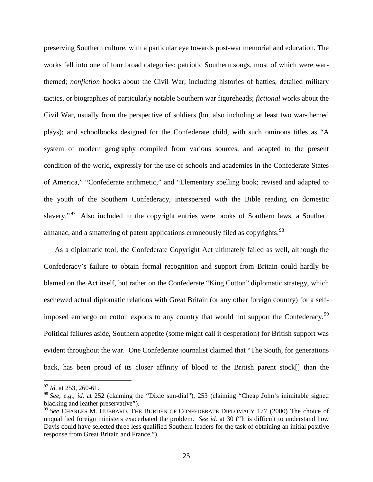preserving Southern culture, with a particular eye towards post-war memorial and education. The works fell into one of four broad categories: patriotic Southern songs, most of which were warthemed; *nonfiction* books about the Civil War, including histories of battles, detailed military tactics, or biographies of particularly notable Southern war figureheads; *fictional* works about the Civil War, usually from the perspective of soldiers (but also including at least two war-themed plays); and schoolbooks designed for the Confederate child, with such ominous titles as "A system of modern geography compiled from various sources, and adapted to the present condition of the world, expressly for the use of schools and academies in the Confederate States of America," "Confederate arithmetic," and "Elementary spelling book; revised and adapted to the youth of the Southern Confederacy, interspersed with the Bible reading on domestic slavery."<sup>[97](#page-24-0)</sup> Also included in the copyright entries were books of Southern laws, a Southern almanac, and a smattering of patent applications erroneously filed as copyrights.<sup>98</sup>

As a diplomatic tool, the Confederate Copyright Act ultimately failed as well, although the Confederacy's failure to obtain formal recognition and support from Britain could hardly be blamed on the Act itself, but rather on the Confederate "King Cotton" diplomatic strategy, which eschewed actual diplomatic relations with Great Britain (or any other foreign country) for a self-imposed embargo on cotton exports to any country that would not support the Confederacy.<sup>[99](#page-24-2)</sup> Political failures aside, Southern appetite (some might call it desperation) for British support was evident throughout the war. One Confederate journalist claimed that "The South, for generations back, has been proud of its closer affinity of blood to the British parent stock[] than the

<span id="page-24-0"></span><sup>&</sup>lt;sup>97</sup> *Id.* at 253, 260-61.

<span id="page-24-1"></span><sup>98</sup> *See, e.g.*, *id.* at 252 (claiming the "Dixie sun-dial"), 253 (claiming "Cheap John's inimitable signed blacking and leather preservative").

<span id="page-24-2"></span><sup>99</sup> *See* CHARLES M. HUBBARD, THE BURDEN OF CONFEDERATE DIPLOMACY 177 (2000) The choice of unqualified foreign ministers exacerbated the problem. *See id.* at 30 ("It is difficult to understand how Davis could have selected three less qualified Southern leaders for the task of obtaining an initial positive response from Great Britain and France.").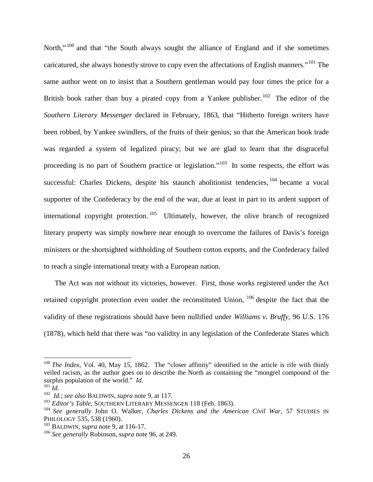North."<sup>[100](#page-25-0)</sup> and that "the South always sought the alliance of England and if she sometimes caricatured, she always honestly strove to copy even the affectations of English manners."<sup>[101](#page-25-1)</sup> The same author went on to insist that a Southern gentleman would pay four times the price for a British book rather than buy a pirated copy from a Yankee publisher. <sup>[102](#page-25-2)</sup> The editor of the *Southern Literary Messenger* declared in February, 1863, that "Hitherto foreign writers have been robbed, by Yankee swindlers, of the fruits of their genius; so that the American book trade was regarded a system of legalized piracy; but we are glad to learn that the disgraceful proceeding is no part of Southern practice or legislation."<sup>103</sup> In some respects, the effort was successful: Charles Dickens, despite his staunch abolitionist tendencies, <sup>[104](#page-25-4)</sup> became a vocal supporter of the Confederacy by the end of the war, due at least in part to its ardent support of international copyright protection.  $105$  Ultimately, however, the olive branch of recognized literary property was simply nowhere near enough to overcome the failures of Davis's foreign ministers or the shortsighted withholding of Southern cotton exports, and the Confederacy failed to reach a single international treaty with a European nation.

The Act was not without its victories, however. First, those works registered under the Act retained copyright protection even under the reconstituted Union, [106](#page-25-6) despite the fact that the validity of these registrations should have been nullified under *Williams v. Bruffy*, 96 U.S. 176 (1878), which held that there was "no validity in any legislation of the Confederate States which

<span id="page-25-0"></span><sup>&</sup>lt;sup>100</sup> *The Index*, Vol. 40, May 15, 1862. The "closer affinity" identified in the article is rife with thinly veiled racism, as the author goes on to describe the North as containing the "mongrel compound of the surplus population of the world." *Id.*

<span id="page-25-1"></span> $^{101}$ *Id.* 

<sup>102</sup> *Id.*; *see also* BALDWIN, *supra* note [9,](#page-3-6) at 117.

<span id="page-25-3"></span><span id="page-25-2"></span><sup>&</sup>lt;sup>103</sup> Editor's Table, SOUTHERN LITERARY MESSENGER 118 (Feb. 1863).

<span id="page-25-4"></span><sup>104</sup> *See generally* John O. Walker, *Charles Dickens and the American Civil War*, 57 STUDIES IN PHILOLOGY 535, 538 (1960).

<span id="page-25-5"></span><sup>105</sup> BALDWIN*, supra* note [9,](#page-3-6) at 116-17.

<span id="page-25-6"></span><sup>106</sup> *See generally* Robinson, *supra* not[e 96,](#page-23-6) at 249.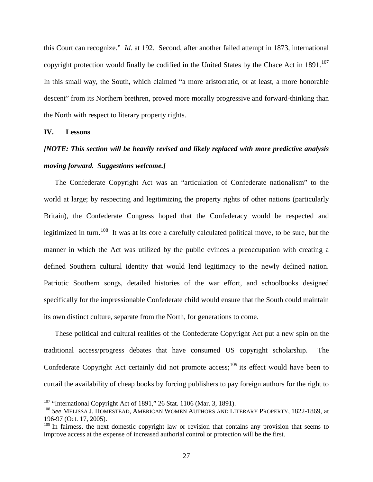this Court can recognize." *Id.* at 192. Second, after another failed attempt in 1873, international copyright protection would finally be codified in the United States by the Chace Act in 1891.<sup>[107](#page-26-0)</sup> In this small way, the South, which claimed "a more aristocratic, or at least, a more honorable descent" from its Northern brethren, proved more morally progressive and forward-thinking than the North with respect to literary property rights.

#### **IV. Lessons**

# *[NOTE: This section will be heavily revised and likely replaced with more predictive analysis moving forward. Suggestions welcome.]*

The Confederate Copyright Act was an "articulation of Confederate nationalism" to the world at large; by respecting and legitimizing the property rights of other nations (particularly Britain), the Confederate Congress hoped that the Confederacy would be respected and legitimized in turn.<sup>[108](#page-26-1)</sup> It was at its core a carefully calculated political move, to be sure, but the manner in which the Act was utilized by the public evinces a preoccupation with creating a defined Southern cultural identity that would lend legitimacy to the newly defined nation. Patriotic Southern songs, detailed histories of the war effort, and schoolbooks designed specifically for the impressionable Confederate child would ensure that the South could maintain its own distinct culture, separate from the North, for generations to come.

These political and cultural realities of the Confederate Copyright Act put a new spin on the traditional access/progress debates that have consumed US copyright scholarship. The Confederate Copyright Act certainly did not promote access;  $^{109}$  $^{109}$  $^{109}$  its effect would have been to curtail the availability of cheap books by forcing publishers to pay foreign authors for the right to

<span id="page-26-0"></span> $107$  "International Copyright Act of 1891," 26 Stat. 1106 (Mar. 3, 1891).

<span id="page-26-1"></span><sup>108</sup> *See* MELISSA J. HOMESTEAD, AMERICAN WOMEN AUTHORS AND LITERARY PROPERTY, 1822-1869, at 196-97 (Oct. 17, 2005).

<span id="page-26-2"></span> $109$  In fairness, the next domestic copyright law or revision that contains any provision that seems to improve access at the expense of increased authorial control or protection will be the first.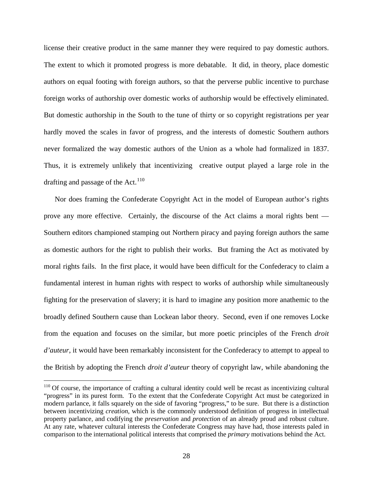license their creative product in the same manner they were required to pay domestic authors. The extent to which it promoted progress is more debatable. It did, in theory, place domestic authors on equal footing with foreign authors, so that the perverse public incentive to purchase foreign works of authorship over domestic works of authorship would be effectively eliminated. But domestic authorship in the South to the tune of thirty or so copyright registrations per year hardly moved the scales in favor of progress, and the interests of domestic Southern authors never formalized the way domestic authors of the Union as a whole had formalized in 1837. Thus, it is extremely unlikely that incentivizing creative output played a large role in the drafting and passage of the Act.<sup>[110](#page-27-0)</sup>

Nor does framing the Confederate Copyright Act in the model of European author's rights prove any more effective. Certainly, the discourse of the Act claims a moral rights bent — Southern editors championed stamping out Northern piracy and paying foreign authors the same as domestic authors for the right to publish their works. But framing the Act as motivated by moral rights fails. In the first place, it would have been difficult for the Confederacy to claim a fundamental interest in human rights with respect to works of authorship while simultaneously fighting for the preservation of slavery; it is hard to imagine any position more anathemic to the broadly defined Southern cause than Lockean labor theory. Second, even if one removes Locke from the equation and focuses on the similar, but more poetic principles of the French *droit d'auteur*, it would have been remarkably inconsistent for the Confederacy to attempt to appeal to the British by adopting the French *droit d'auteur* theory of copyright law, while abandoning the

<span id="page-27-0"></span><sup>&</sup>lt;sup>110</sup> Of course, the importance of crafting a cultural identity could well be recast as incentivizing cultural "progress" in its purest form. To the extent that the Confederate Copyright Act must be categorized in modern parlance, it falls squarely on the side of favoring "progress," to be sure. But there is a distinction between incentivizing *creation*, which is the commonly understood definition of progress in intellectual property parlance, and codifying the *preservation* and *protection* of an already proud and robust culture. At any rate, whatever cultural interests the Confederate Congress may have had, those interests paled in comparison to the international political interests that comprised the *primary* motivations behind the Act.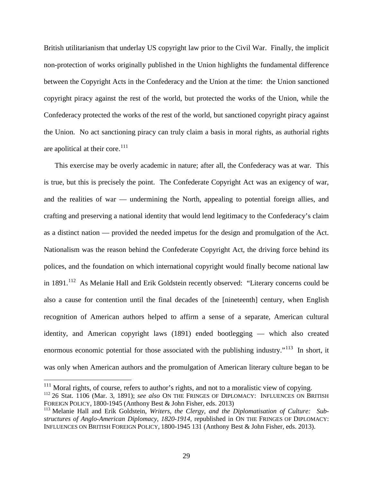British utilitarianism that underlay US copyright law prior to the Civil War. Finally, the implicit non-protection of works originally published in the Union highlights the fundamental difference between the Copyright Acts in the Confederacy and the Union at the time: the Union sanctioned copyright piracy against the rest of the world, but protected the works of the Union, while the Confederacy protected the works of the rest of the world, but sanctioned copyright piracy against the Union. No act sanctioning piracy can truly claim a basis in moral rights, as authorial rights are apolitical at their core. $111$ 

This exercise may be overly academic in nature; after all, the Confederacy was at war. This is true, but this is precisely the point. The Confederate Copyright Act was an exigency of war, and the realities of war — undermining the North, appealing to potential foreign allies, and crafting and preserving a national identity that would lend legitimacy to the Confederacy's claim as a distinct nation — provided the needed impetus for the design and promulgation of the Act. Nationalism was the reason behind the Confederate Copyright Act, the driving force behind its polices, and the foundation on which international copyright would finally become national law in  $1891$ <sup>112</sup> As Melanie Hall and Erik Goldstein recently observed: "Literary concerns could be also a cause for contention until the final decades of the [nineteenth] century, when English recognition of American authors helped to affirm a sense of a separate, American cultural identity, and American copyright laws (1891) ended bootlegging — which also created enormous economic potential for those associated with the publishing industry."<sup>[113](#page-28-2)</sup> In short, it was only when American authors and the promulgation of American literary culture began to be

<span id="page-28-0"></span> $111$  Moral rights, of course, refers to author's rights, and not to a moralistic view of copying.

<span id="page-28-1"></span><sup>112</sup> 26 Stat. 1106 (Mar. 3, 1891); *see also* ON THE FRINGES OF DIPLOMACY: INFLUENCES ON BRITISH FOREIGN POLICY, 1800-1945 (Anthony Best & John Fisher, eds. 2013)

<span id="page-28-2"></span><sup>113</sup> Melanie Hall and Erik Goldstein, *Writers, the Clergy, and the Diplomatisation of Culture: Substructures of Anglo-American Diplomacy*, *1820-1914,* republished in ON THE FRINGES OF DIPLOMACY: INFLUENCES ON BRITISH FOREIGN POLICY, 1800-1945 131 (Anthony Best & John Fisher, eds. 2013).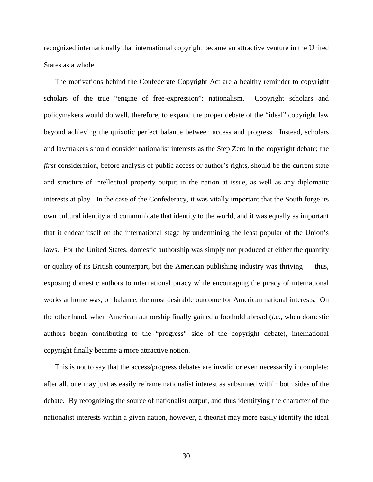recognized internationally that international copyright became an attractive venture in the United States as a whole.

The motivations behind the Confederate Copyright Act are a healthy reminder to copyright scholars of the true "engine of free-expression": nationalism. Copyright scholars and policymakers would do well, therefore, to expand the proper debate of the "ideal" copyright law beyond achieving the quixotic perfect balance between access and progress. Instead, scholars and lawmakers should consider nationalist interests as the Step Zero in the copyright debate; the *first* consideration, before analysis of public access or author's rights, should be the current state and structure of intellectual property output in the nation at issue, as well as any diplomatic interests at play. In the case of the Confederacy, it was vitally important that the South forge its own cultural identity and communicate that identity to the world, and it was equally as important that it endear itself on the international stage by undermining the least popular of the Union's laws. For the United States, domestic authorship was simply not produced at either the quantity or quality of its British counterpart, but the American publishing industry was thriving — thus, exposing domestic authors to international piracy while encouraging the piracy of international works at home was, on balance, the most desirable outcome for American national interests. On the other hand, when American authorship finally gained a foothold abroad (*i.e.*, when domestic authors began contributing to the "progress" side of the copyright debate), international copyright finally became a more attractive notion.

This is not to say that the access/progress debates are invalid or even necessarily incomplete; after all, one may just as easily reframe nationalist interest as subsumed within both sides of the debate. By recognizing the source of nationalist output, and thus identifying the character of the nationalist interests within a given nation, however, a theorist may more easily identify the ideal